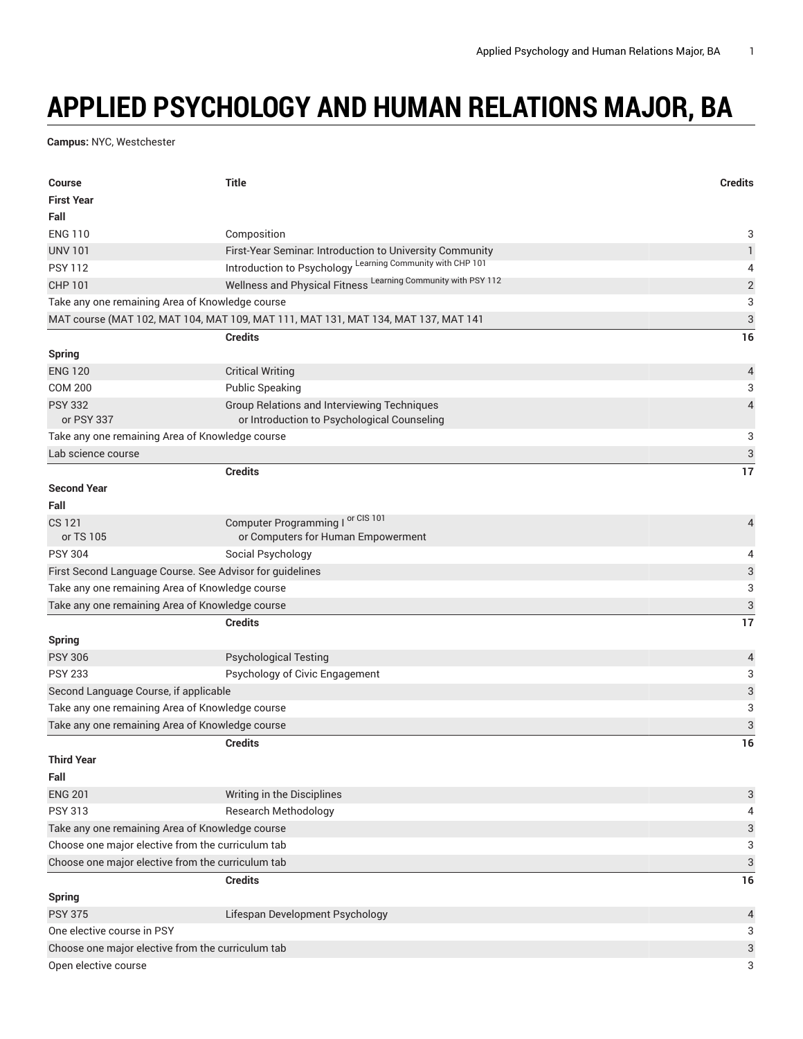## **APPLIED PSYCHOLOGY AND HUMAN RELATIONS MAJOR, BA**

**Campus:** NYC, Westchester

| <b>Course</b>                                            | <b>Title</b>                                                                       | <b>Credits</b>            |
|----------------------------------------------------------|------------------------------------------------------------------------------------|---------------------------|
| <b>First Year</b>                                        |                                                                                    |                           |
| Fall                                                     |                                                                                    |                           |
| <b>ENG 110</b>                                           | Composition                                                                        | 3                         |
| <b>UNV 101</b>                                           | First-Year Seminar. Introduction to University Community                           | $\mathbf{1}$              |
| <b>PSY 112</b>                                           | Introduction to Psychology Learning Community with CHP 101                         | 4                         |
| <b>CHP 101</b>                                           | Wellness and Physical Fitness Learning Community with PSY 112                      | $\overline{c}$            |
| Take any one remaining Area of Knowledge course          |                                                                                    | 3                         |
|                                                          | MAT course (MAT 102, MAT 104, MAT 109, MAT 111, MAT 131, MAT 134, MAT 137, MAT 141 | 3                         |
|                                                          | <b>Credits</b>                                                                     | 16                        |
| <b>Spring</b>                                            |                                                                                    |                           |
| <b>ENG 120</b>                                           | <b>Critical Writing</b>                                                            | 4                         |
| <b>COM 200</b>                                           | <b>Public Speaking</b>                                                             | 3                         |
| <b>PSY 332</b>                                           | <b>Group Relations and Interviewing Techniques</b>                                 | $\overline{4}$            |
| or PSY 337                                               | or Introduction to Psychological Counseling                                        |                           |
| Take any one remaining Area of Knowledge course          |                                                                                    | 3                         |
| Lab science course                                       |                                                                                    | $\mathfrak{S}$            |
|                                                          | <b>Credits</b>                                                                     | 17                        |
| <b>Second Year</b>                                       |                                                                                    |                           |
| Fall                                                     |                                                                                    |                           |
| CS 121                                                   | Computer Programming I or CIS 101                                                  | 4                         |
| or TS 105                                                | or Computers for Human Empowerment                                                 |                           |
| <b>PSY 304</b>                                           | Social Psychology                                                                  | 4                         |
| First Second Language Course. See Advisor for guidelines |                                                                                    | $\ensuremath{\mathsf{3}}$ |
| Take any one remaining Area of Knowledge course          |                                                                                    | 3                         |
| Take any one remaining Area of Knowledge course          |                                                                                    | $\mathfrak{S}$            |
|                                                          | <b>Credits</b>                                                                     | 17                        |
| <b>Spring</b>                                            |                                                                                    |                           |
| <b>PSY 306</b>                                           | <b>Psychological Testing</b>                                                       | $\overline{4}$            |
| <b>PSY 233</b>                                           | Psychology of Civic Engagement                                                     | 3                         |
| Second Language Course, if applicable                    |                                                                                    | 3                         |
| Take any one remaining Area of Knowledge course          |                                                                                    |                           |
| Take any one remaining Area of Knowledge course          |                                                                                    | 3                         |
|                                                          | <b>Credits</b>                                                                     | 16                        |
| <b>Third Year</b>                                        |                                                                                    |                           |
| Fall                                                     |                                                                                    |                           |
| <b>ENG 201</b>                                           | Writing in the Disciplines                                                         | 3                         |
| <b>PSY 313</b>                                           | <b>Research Methodology</b>                                                        | 4                         |
| Take any one remaining Area of Knowledge course          |                                                                                    | 3                         |
| Choose one major elective from the curriculum tab        |                                                                                    | 3                         |
| Choose one major elective from the curriculum tab        |                                                                                    | $\ensuremath{\mathsf{3}}$ |
|                                                          | <b>Credits</b>                                                                     | 16                        |
| <b>Spring</b>                                            |                                                                                    |                           |
| <b>PSY 375</b>                                           | Lifespan Development Psychology                                                    | 4                         |
| One elective course in PSY                               |                                                                                    | 3                         |
| Choose one major elective from the curriculum tab        |                                                                                    |                           |
| Open elective course                                     |                                                                                    | 3<br>3                    |